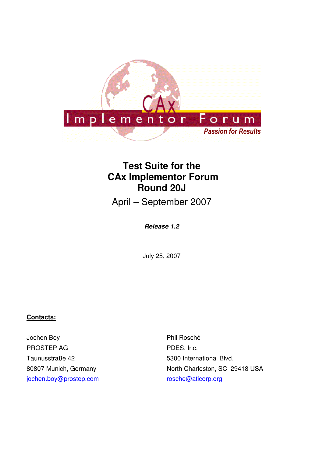

# **Test Suite for the CAx Implementor Forum Round 20J**

April – September 2007

### **Release 1.2**

July 25, 2007

### **Contacts:**

Jochen Boy PROSTEP AG Taunusstraße 42 80807 Munich, Germany jochen.boy@prostep.com

Phil Rosché PDES, Inc. 5300 International Blvd. North Charleston, SC 29418 USA rosche@aticorp.org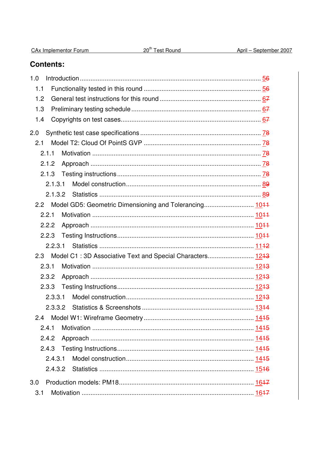# **Contents:**

| 1.0                                                              |
|------------------------------------------------------------------|
| 1.1                                                              |
| 1.2                                                              |
| 1.3                                                              |
| 1.4                                                              |
| 2.0                                                              |
| 2.1                                                              |
| 2.1.1                                                            |
| 2.1.2                                                            |
| 2.1.3                                                            |
| 2.1.3.1                                                          |
|                                                                  |
| 2.2 Model GD5: Geometric Dimensioning and Tolerancing 1044       |
| 2.2.1                                                            |
| 2.2.2                                                            |
| 2.2.3                                                            |
| 2.2.3.1                                                          |
| Model C1: 3D Associative Text and Special Characters 1243<br>2.3 |
| 2.3.1                                                            |
| 2.3.2                                                            |
| 2.3.3                                                            |
| 2.3.3.1                                                          |
|                                                                  |
|                                                                  |
| 2.4.1                                                            |
| 2.4.2                                                            |
| 2.4.3                                                            |
| 2.4.3.1                                                          |
|                                                                  |
| 3.0                                                              |
| 3.1                                                              |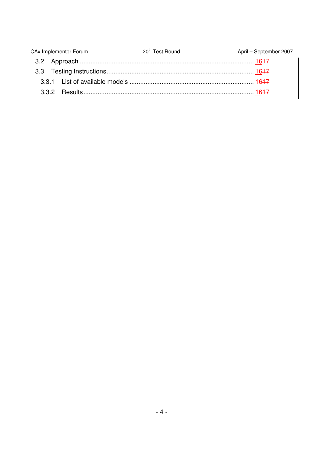|  | CAx Implementor Forum 20 <sup>th</sup> Test Round April – September 2007 |  |
|--|--------------------------------------------------------------------------|--|
|  |                                                                          |  |
|  |                                                                          |  |
|  |                                                                          |  |
|  |                                                                          |  |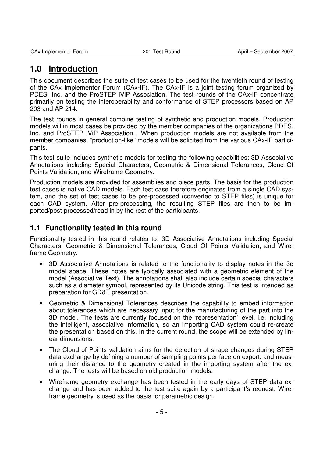# **1.0 Introduction**

This document describes the suite of test cases to be used for the twentieth round of testing of the CAx Implementor Forum (CAx-IF). The CAx-IF is a joint testing forum organized by PDES, Inc. and the ProSTEP iViP Association. The test rounds of the CAx-IF concentrate primarily on testing the interoperability and conformance of STEP processors based on AP 203 and AP 214.

The test rounds in general combine testing of synthetic and production models. Production models will in most cases be provided by the member companies of the organizations PDES, Inc. and ProSTEP iViP Association. When production models are not available from the member companies, "production-like" models will be solicited from the various CAx-IF participants.

This test suite includes synthetic models for testing the following capabilities: 3D Associative Annotations including Special Characters, Geometric & Dimensional Tolerances, Cloud Of Points Validation, and Wireframe Geometry.

Production models are provided for assemblies and piece parts. The basis for the production test cases is native CAD models. Each test case therefore originates from a single CAD system, and the set of test cases to be pre-processed (converted to STEP files) is unique for each CAD system. After pre-processing, the resulting STEP files are then to be imported/post-processed/read in by the rest of the participants.

### **1.1 Functionality tested in this round**

Functionality tested in this round relates to: 3D Associative Annotations including Special Characters, Geometric & Dimensional Tolerances, Cloud Of Points Validation, and Wireframe Geometry.

- 3D Associative Annotations is related to the functionality to display notes in the 3d model space. These notes are typically associated with a geometric element of the model (Associative Text). The annotations shall also include certain special characters such as a diameter symbol, represented by its Unicode string. This test is intended as preparation for GD&T presentation.
- Geometric & Dimensional Tolerances describes the capability to embed information about tolerances which are necessary input for the manufacturing of the part into the 3D model. The tests are currently focused on the 'representation' level, i.e. including the intelligent, associative information, so an importing CAD system could re-create the presentation based on this. In the current round, the scope will be extended by linear dimensions.
- The Cloud of Points validation aims for the detection of shape changes during STEP data exchange by defining a number of sampling points per face on export, and measuring their distance to the geometry created in the importing system after the exchange. The tests will be based on old production models.
- Wireframe geometry exchange has been tested in the early days of STEP data exchange and has been added to the test suite again by a participant's request. Wireframe geometry is used as the basis for parametric design.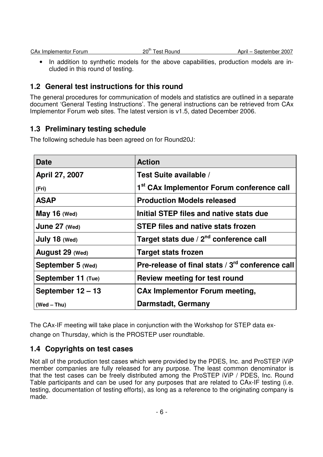| CAx Implementor Forum | 20 <sup>th</sup> Test Round | April – September 2007 |
|-----------------------|-----------------------------|------------------------|
|                       |                             |                        |

• In addition to synthetic models for the above capabilities, production models are included in this round of testing.

# **1.2 General test instructions for this round**

The general procedures for communication of models and statistics are outlined in a separate document 'General Testing Instructions'. The general instructions can be retrieved from CAx Implementor Forum web sites. The latest version is v1.5, dated December 2006.

# **1.3 Preliminary testing schedule**

The following schedule has been agreed on for Round20J:

| Date               | <b>Action</b>                                                |  |
|--------------------|--------------------------------------------------------------|--|
| April 27, 2007     | Test Suite available /                                       |  |
| (Fri)              | 1 <sup>st</sup> CAx Implementor Forum conference call        |  |
| <b>ASAP</b>        | <b>Production Models released</b>                            |  |
| May $16$ (Wed)     | Initial STEP files and native stats due                      |  |
| June 27 (Wed)      | <b>STEP files and native stats frozen</b>                    |  |
| July 18 (Wed)      | Target stats due / $2nd$ conference call                     |  |
| August 29 (Wed)    | <b>Target stats frozen</b>                                   |  |
| September 5 (Wed)  | Pre-release of final stats / 3 <sup>rd</sup> conference call |  |
| September 11 (Tue) | Review meeting for test round                                |  |
| September 12 - 13  | <b>CAx Implementor Forum meeting,</b>                        |  |
| $(Wed - Thu)$      | <b>Darmstadt, Germany</b>                                    |  |

The CAx-IF meeting will take place in conjunction with the Workshop for STEP data exchange on Thursday, which is the PROSTEP user roundtable.

# **1.4 Copyrights on test cases**

Not all of the production test cases which were provided by the PDES, Inc. and ProSTEP iViP member companies are fully released for any purpose. The least common denominator is that the test cases can be freely distributed among the ProSTEP iViP / PDES, Inc. Round Table participants and can be used for any purposes that are related to CAx-IF testing (i.e. testing, documentation of testing efforts), as long as a reference to the originating company is made.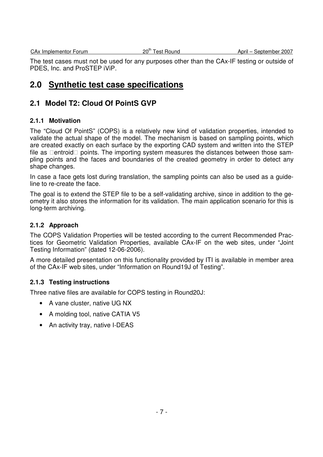The test cases must not be used for any purposes other than the CAx-IF testing or outside of PDES, Inc. and ProSTEP iViP.

# **2.0 Synthetic test case specifications**

### **2.1 Model T2: Cloud Of PointS GVP**

#### **2.1.1 Motivation**

The "Cloud Of PointS" (COPS) is a relatively new kind of validation properties, intended to validate the actual shape of the model. The mechanism is based on sampling points, which are created exactly on each surface by the exporting CAD system and written into the STEP file as entroid points. The importing system measures the distances between those sampling points and the faces and boundaries of the created geometry in order to detect any shape changes.

In case a face gets lost during translation, the sampling points can also be used as a guideline to re-create the face.

The goal is to extend the STEP file to be a self-validating archive, since in addition to the geometry it also stores the information for its validation. The main application scenario for this is long-term archiving.

#### **2.1.2 Approach**

The COPS Validation Properties will be tested according to the current Recommended Practices for Geometric Validation Properties, available CAx-IF on the web sites, under "Joint Testing Information" (dated 12-06-2006).

A more detailed presentation on this functionality provided by ITI is available in member area of the CAx-IF web sites, under "Information on Round19J of Testing".

### **2.1.3 Testing instructions**

Three native files are available for COPS testing in Round20J:

- A vane cluster, native UG NX
- A molding tool, native CATIA V5
- An activity tray, native I-DEAS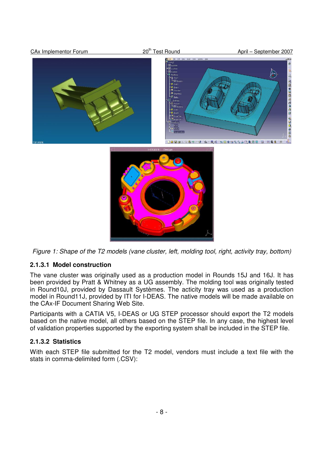

Figure 1: Shape of the T2 models (vane cluster, left, molding tool, right, activity tray, bottom)

### **2.1.3.1 Model construction**

The vane cluster was originally used as a production model in Rounds 15J and 16J. It has been provided by Pratt & Whitney as a UG assembly. The molding tool was originally tested in Round10J, provided by Dassault Systèmes. The acticity tray was used as a production model in Round11J, provided by ITI for I-DEAS. The native models will be made available on the CAx-IF Document Sharing Web Site.

Participants with a CATIA V5, I-DEAS or UG STEP processor should export the T2 models based on the native model, all others based on the STEP file. In any case, the highest level of validation properties supported by the exporting system shall be included in the STEP file.

### **2.1.3.2 Statistics**

With each STEP file submitted for the T2 model, vendors must include a text file with the stats in comma-delimited form (.CSV):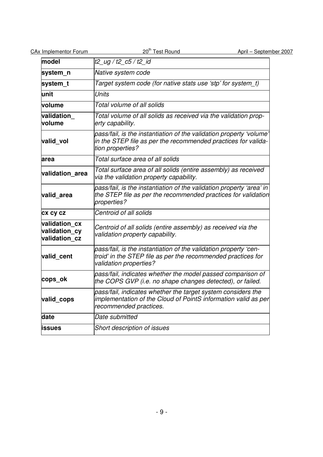| <b>CAx Implementor Forum</b>                    | 20 <sup>th</sup> Test Round<br>April - September 2007                                                                                                      |  |  |
|-------------------------------------------------|------------------------------------------------------------------------------------------------------------------------------------------------------------|--|--|
| model                                           | t2 ug / t2 c5 / t2 id                                                                                                                                      |  |  |
| system_n                                        | Native system code                                                                                                                                         |  |  |
| system_t                                        | Target system code (for native stats use 'stp' for system t)                                                                                               |  |  |
| lunit                                           | <b>Units</b>                                                                                                                                               |  |  |
| volume                                          | Total volume of all solids                                                                                                                                 |  |  |
| validation<br>volume                            | Total volume of all solids as received via the validation prop-<br>erty capability.                                                                        |  |  |
| valid vol                                       | pass/fail, is the instantiation of the validation property 'volume'<br>in the STEP file as per the recommended practices for valida-<br>tion properties?   |  |  |
| area                                            | Total surface area of all solids                                                                                                                           |  |  |
| validation area                                 | Total surface area of all solids (entire assembly) as received<br>via the validation property capability.                                                  |  |  |
| valid area                                      | pass/fail, is the instantiation of the validation property 'area' in<br>the STEP file as per the recommended practices for validation<br>properties?       |  |  |
| cx cy cz                                        | Centroid of all solids                                                                                                                                     |  |  |
| validation cx<br>validation cy<br>validation cz | Centroid of all solids (entire assembly) as received via the<br>validation property capability.                                                            |  |  |
| valid_cent                                      | pass/fail, is the instantiation of the validation property 'cen-<br>troid' in the STEP file as per the recommended practices for<br>validation properties? |  |  |
| cops ok                                         | pass/fail, indicates whether the model passed comparison of<br>the COPS GVP (i.e. no shape changes detected), or failed.                                   |  |  |
| valid_cops                                      | pass/fail, indicates whether the target system considers the<br> implementation of the Cloud of PointS information valid as per<br>recommended practices.  |  |  |
| date                                            | Date submitted                                                                                                                                             |  |  |
| issues                                          | Short description of issues                                                                                                                                |  |  |
|                                                 |                                                                                                                                                            |  |  |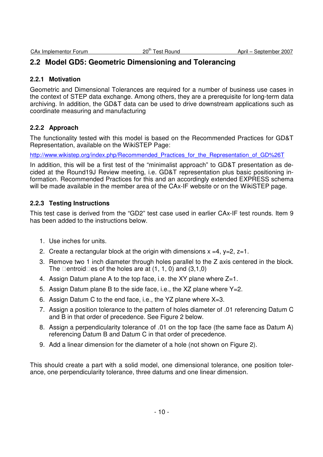## **2.2 Model GD5: Geometric Dimensioning and Tolerancing**

#### **2.2.1 Motivation**

Geometric and Dimensional Tolerances are required for a number of business use cases in the context of STEP data exchange. Among others, they are a prerequisite for long-term data archiving. In addition, the GD&T data can be used to drive downstream applications such as coordinate measuring and manufacturing

### **2.2.2 Approach**

The functionality tested with this model is based on the Recommended Practices for GD&T Representation, available on the WikiSTEP Page:

http://www.wikistep.org/index.php/Recommended\_Practices\_for\_the\_Representation\_of\_GD%26T

In addition, this will be a first test of the "minimalist approach" to GD&T presentation as decided at the Round19J Review meeting, i.e. GD&T representation plus basic positioning information. Recommended Practices for this and an accordingly extended EXPRESS schema will be made available in the member area of the CAx-IF website or on the WikiSTEP page.

### **2.2.3 Testing Instructions**

This test case is derived from the "GD2" test case used in earlier CAx-IF test rounds. Item 9 has been added to the instructions below.

- 1. Use inches for units.
- 2. Create a rectangular block at the origin with dimensions  $x = 4$ ,  $y=2$ ,  $z=1$ .
- 3. Remove two 1 inch diameter through holes parallel to the Z axis centered in the block. The entroid es of the holes are at  $(1, 1, 0)$  and  $(3,1,0)$
- 4. Assign Datum plane A to the top face, i.e. the XY plane where Z=1.
- 5. Assign Datum plane B to the side face, i.e., the XZ plane where Y=2.
- 6. Assign Datum C to the end face, i.e., the YZ plane where X=3.
- 7. Assign a position tolerance to the pattern of holes diameter of .01 referencing Datum C and B in that order of precedence. See Figure 2 below.
- 8. Assign a perpendicularity tolerance of .01 on the top face (the same face as Datum A) referencing Datum B and Datum C in that order of precedence.
- 9. Add a linear dimension for the diameter of a hole (not shown on Figure 2).

This should create a part with a solid model, one dimensional tolerance, one position tolerance, one perpendicularity tolerance, three datums and one linear dimension.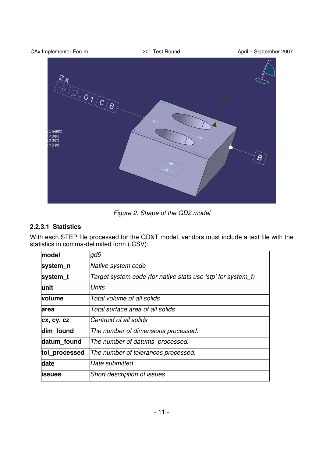

Figure 2: Shape of the GD2 model

### **2.2.3.1 Statistics**

With each STEP file processed for the GD&T model, vendors must include a text file with the statistics in comma-delimited form (.CSV):

| model          | gd5                                                          |  |
|----------------|--------------------------------------------------------------|--|
| system n       | Native system code                                           |  |
| system t       | Target system code (for native stats use 'stp' for system t) |  |
| unit           | Units                                                        |  |
| volume         | Total volume of all solids                                   |  |
| area           | Total surface area of all solids                             |  |
| cx, cy, cz     | Centroid of all solids                                       |  |
| dim found      | The number of dimensions processed.                          |  |
| datum found    | The number of datums processed.                              |  |
| tol_processed  | The number of tolerances processed.                          |  |
| date           | lDate submitted                                              |  |
| <b>lissues</b> | <b>Short description of issues</b>                           |  |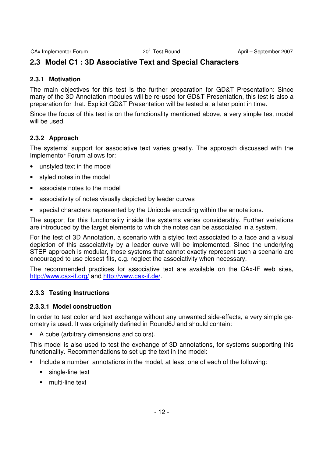## **2.3 Model C1 : 3D Associative Text and Special Characters**

#### **2.3.1 Motivation**

The main objectives for this test is the further preparation for GD&T Presentation: Since many of the 3D Annotation modules will be re-used for GD&T Presentation, this test is also a preparation for that. Explicit GD&T Presentation will be tested at a later point in time.

Since the focus of this test is on the functionality mentioned above, a very simple test model will be used.

### **2.3.2 Approach**

The systems' support for associative text varies greatly. The approach discussed with the Implementor Forum allows for:

- unstyled text in the model
- styled notes in the model
- associate notes to the model
- associativity of notes visually depicted by leader curves
- special characters represented by the Unicode encoding within the annotations.

The support for this functionality inside the systems varies considerably. Further variations are introduced by the target elements to which the notes can be associated in a system.

For the test of 3D Annotation, a scenario with a styled text associated to a face and a visual depiction of this associativity by a leader curve will be implemented. Since the underlying STEP approach is modular, those systems that cannot exactly represent such a scenario are encouraged to use closest-fits, e.g. neglect the associativity when necessary.

The recommended practices for associative text are available on the CAx-IF web sites, http://www.cax-if.org/ and http://www.cax-if.de/.

### **2.3.3 Testing Instructions**

#### **2.3.3.1 Model construction**

In order to test color and text exchange without any unwanted side-effects, a very simple geometry is used. It was originally defined in Round6J and should contain:

A cube (arbitrary dimensions and colors).

This model is also used to test the exchange of 3D annotations, for systems supporting this functionality. Recommendations to set up the text in the model:

- Include a number annotations in the model, at least one of each of the following:
	- **single-line text**
	- **F** multi-line text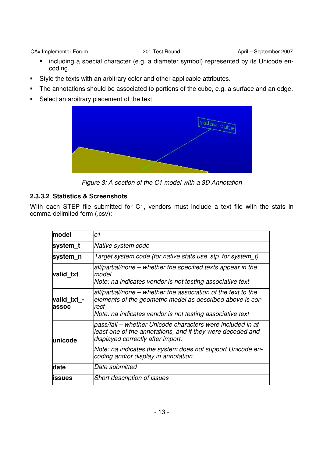CAx Implementor Forum 20<sup>th</sup> Test Round April – September 2007

- **EX including a special character (e.g. a diameter symbol) represented by its Unicode en**coding.
- Style the texts with an arbitrary color and other applicable attributes.
- **The annotations should be associated to portions of the cube, e.g. a surface and an edge.**
- **Select an arbitrary placement of the text**



Figure 3: A section of the C1 model with a 3D Annotation

### **2.3.3.2 Statistics & Screenshots**

With each STEP file submitted for C1, vendors must include a text file with the stats in comma-delimited form (.csv):

| model                | c1                                                                                                                                                                                               |  |
|----------------------|--------------------------------------------------------------------------------------------------------------------------------------------------------------------------------------------------|--|
| system_t             | Native system code                                                                                                                                                                               |  |
| system n             | Target system code (for native stats use 'stp' for system t)                                                                                                                                     |  |
| valid_txt            | all/partial/none – whether the specified texts appear in the<br>model<br>Note: na indicates vendor is not testing associative text                                                               |  |
| valid txt -<br>assoc | all/partial/none – whether the association of the text to the<br>elements of the geometric model as described above is cor-<br>rect<br>Note: na indicates vendor is not testing associative text |  |
| lunicode             | pass/fail – whether Unicode characters were included in at<br>least one of the annotations, and if they were decoded and<br>displayed correctly after import.                                    |  |
|                      | Note: na indicates the system does not support Unicode en-<br>coding and/or display in annotation.                                                                                               |  |
| date                 | Date submitted                                                                                                                                                                                   |  |
| <b>ISSUES</b>        | <b>Short description of issues</b>                                                                                                                                                               |  |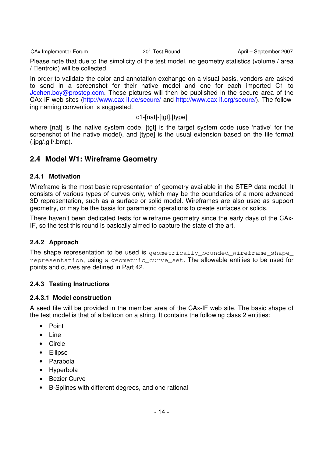| <b>CAx Implementor Forum</b> |  |
|------------------------------|--|

 $20<sup>th</sup>$  Test Round  $\qquad \qquad$  April – September 2007

Please note that due to the simplicity of the test model, no geometry statistics (volume / area / entroid) will be collected.

In order to validate the color and annotation exchange on a visual basis, vendors are asked to send in a screenshot for their native model and one for each imported C1 to Jochen.boy@prostep.com. These pictures will then be published in the secure area of the CAx-IF web sites (http://www.cax-if.de/secure/ and http://www.cax-if.org/secure/). The following naming convention is suggested:

c1-[nat]-[tgt].[type]

where [nat] is the native system code, [tgt] is the target system code (use 'native' for the screenshot of the native model), and [type] is the usual extension based on the file format (.jpg/.gif/.bmp).

### **2.4 Model W1: Wireframe Geometry**

#### **2.4.1 Motivation**

Wireframe is the most basic representation of geometry available in the STEP data model. It consists of various types of curves only, which may be the boundaries of a more advanced 3D representation, such as a surface or solid model. Wireframes are also used as support geometry, or may be the basis for parametric operations to create surfaces or solids.

There haven't been dedicated tests for wireframe geometry since the early days of the CAx-IF, so the test this round is basically aimed to capture the state of the art.

### **2.4.2 Approach**

The shape representation to be used is geometrically bounded wireframe shape representation, using a geometric curve set. The allowable entities to be used for points and curves are defined in Part 42.

### **2.4.3 Testing Instructions**

### **2.4.3.1 Model construction**

A seed file will be provided in the member area of the CAx-IF web site. The basic shape of the test model is that of a balloon on a string. It contains the following class 2 entities:

- Point
- Line
- Circle
- Ellipse
- Parabola
- Hyperbola
- Bezier Curve
- B-Splines with different degrees, and one rational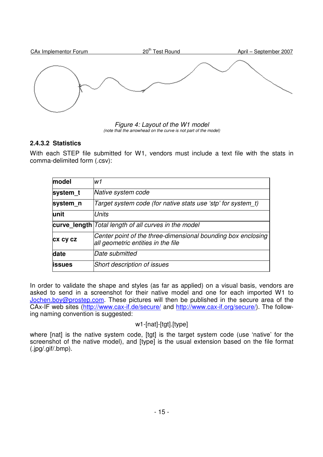

Figure 4: Layout of the W1 model (note that the arrowhead on the curve is not part of the model)

### **2.4.3.2 Statistics**

With each STEP file submitted for W1, vendors must include a text file with the stats in comma-delimited form (.csv):

| model         | W1                                                                                                 |
|---------------|----------------------------------------------------------------------------------------------------|
| system t      | Native system code                                                                                 |
| system_n      | Target system code (for native stats use 'stp' for system t)                                       |
| unit          | <b>Units</b>                                                                                       |
|               | <b>curve length</b> Total length of all curves in the model                                        |
| cx cy cz      | Center point of the three-dimensional bounding box enclosing<br>all geometric entities in the file |
| date          | Date submitted                                                                                     |
| <b>issues</b> | Short description of issues                                                                        |

In order to validate the shape and styles (as far as applied) on a visual basis, vendors are asked to send in a screenshot for their native model and one for each imported W1 to Jochen.boy@prostep.com. These pictures will then be published in the secure area of the CAx-IF web sites (http://www.cax-if.de/secure/ and http://www.cax-if.org/secure/). The following naming convention is suggested:

### w1-[nat]-[tgt].[type]

where [nat] is the native system code, [tgt] is the target system code (use 'native' for the screenshot of the native model), and [type] is the usual extension based on the file format (.jpg/.gif/.bmp).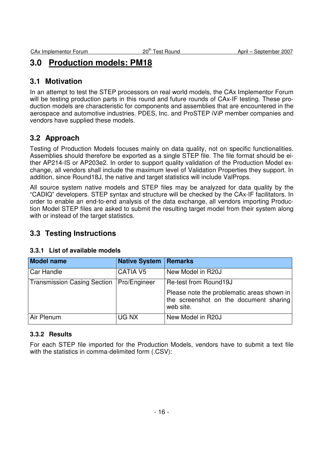# **3.0 Production models: PM18**

## **3.1 Motivation**

In an attempt to test the STEP processors on real world models, the CAx Implementor Forum will be testing production parts in this round and future rounds of CAx-IF testing. These production models are characteristic for components and assemblies that are encountered in the aerospace and automotive industries. PDES, Inc. and ProSTEP iViP member companies and vendors have supplied these models.

# **3.2 Approach**

Testing of Production Models focuses mainly on data quality, not on specific functionalities. Assemblies should therefore be exported as a single STEP file. The file format should be either AP214-IS or AP203e2. In order to support quality validation of the Production Model exchange, all vendors shall include the maximum level of Validation Properties they support. In addition, since Round18J, the native and target statistics will include ValProps.

All source system native models and STEP files may be analyzed for data quality by the "CADIQ" developers. STEP syntax and structure will be checked by the CAx-IF facilitators. In order to enable an end-to-end analysis of the data exchange, all vendors importing Production Model STEP files are asked to submit the resulting target model from their system along with or instead of the target statistics.

# **3.3 Testing Instructions**

| <b>Model name</b>                          | <b>Native System</b> | Remarks                                                                                           |
|--------------------------------------------|----------------------|---------------------------------------------------------------------------------------------------|
| Car Handle                                 | <b>CATIA V5</b>      | New Model in R20J                                                                                 |
| Transmission Casing Section   Pro/Engineer |                      | Re-test from Round19J                                                                             |
|                                            |                      | Please note the problematic areas shown in<br>the screenshot on the document sharing<br>web site. |
| Air Plenum                                 | UG NX                | New Model in R20J                                                                                 |

### **3.3.1 List of available models**

### **3.3.2 Results**

For each STEP file imported for the Production Models, vendors have to submit a text file with the statistics in comma-delimited form (.CSV):